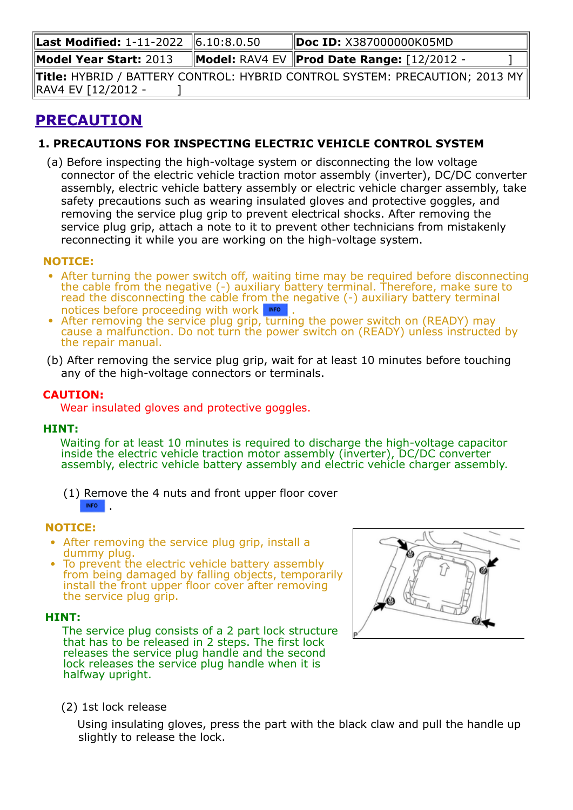| Last Modified: 1-11-2022 6.10:8.0.50 | Doc ID: X387000000K05MD                                                                        |  |
|--------------------------------------|------------------------------------------------------------------------------------------------|--|
| <b>Model Year Start: 2013</b>        | Model: RAV4 EV   Prod Date Range: [12/2012 -                                                   |  |
|                                      | <b>Title:</b> HYBRID / BATTERY CONTROL: HYBRID CONTROL SYSTEM: PRECAUTION; 2013 MY $\parallel$ |  |
| RAV4 EV [12/2012 -                   |                                                                                                |  |

# **PRECAUTION**

# **1. PRECAUTIONS FOR INSPECTING ELECTRIC VEHICLE CONTROL SYSTEM**

(a) Before inspecting the high-voltage system or disconnecting the low voltage connector of the electric vehicle traction motor assembly (inverter), DC/DC converter assembly, electric vehicle battery assembly or electric vehicle charger assembly, take safety precautions such as wearing insulated gloves and protective goggles, and removing the service plug grip to prevent electrical shocks. After removing the service plug grip, attach a note to it to prevent other technicians from mistakenly reconnecting it while you are working on the high-voltage system.

# **NOTICE:**

- After turning the power switch off, waiting time may be required before disconnecting the cable from the negative (-) auxiliary battery terminal. Therefore, make sure to read the disconnecting the cable from the negative (-) auxiliary battery terminal notices before proceeding with work **NFO**[.](https://techinfo.toyota.com/t3Portal/document/rm/RM2510U/xhtml/RM000000UYX0G7X.html?linkId=d215e160&hashId=RM000000UYX0G7X#RM000000UYX0G7X)
- After removing the service plug grip, turning the power switch on (READY) may cause a malfunction. Do not turn the power switch on (READY) unless instructed by the repair manual.
- (b) After removing the service plug grip, wait for at least 10 minutes before touching any of the high-voltage connectors or terminals.

# **CAUTION:**

Wear insulated gloves and protective goggles.

#### **HINT:**

Waiting for at least 10 minutes is required to discharge the high-voltage capacitor inside the electric vehicle traction motor assembly (inverter), DC/DC converter assembly, electric vehicle battery assembly and electric vehicle charger assembly.

(1) Remove the 4 nuts and front upper floor cover **INFO** [.](https://techinfo.toyota.com/t3Portal/document/rm/RM2510U/xhtml/RM000005AUC004X.html?linkId=d215e194&hashId=RM000005AUC004X#RM000005AUC004X)

#### **NOTICE:**

- After removing the service plug grip, install a dummy plug.
- To prevent the electric vehicle battery assembly from being damaged by falling objects, temporarily install the front upper floor cover after removing the service plug grip.

# **HINT:**

The service plug consists of a 2 part lock structure that has to be released in 2 steps. The first lock releases the service plug handle and the second lock releases the service plug handle when it is halfway upright.



(2) 1st lock release

Using insulating gloves, press the part with the black claw and pull the handle up slightly to release the lock.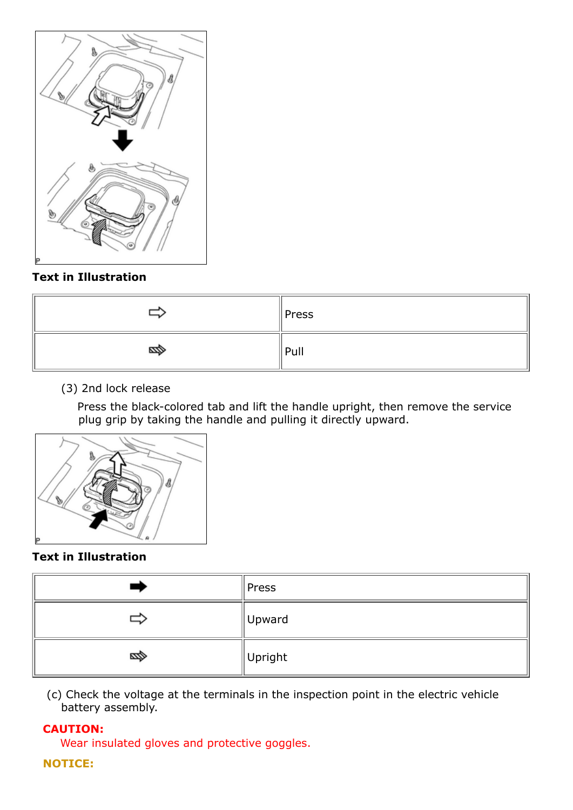

# **Text in Illustration**

|      | $\parallel$ Press |
|------|-------------------|
| ∕⊉¤a | Pull              |

# (3) 2nd lock release

Press the black-colored tab and lift the handle upright, then remove the service plug grip by taking the handle and pulling it directly upward.



# **Text in Illustration**

|      | Press               |
|------|---------------------|
|      | Upward              |
| ∕⊉⊒a | $\parallel$ Upright |

(c) Check the voltage at the terminals in the inspection point in the electric vehicle battery assembly.

# **CAUTION:**

Wear insulated gloves and protective goggles.

# **NOTICE:**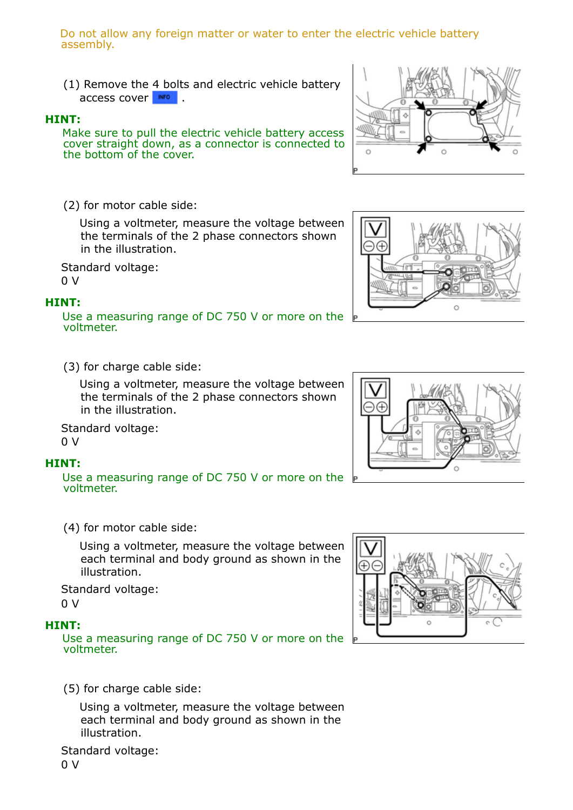Do not allow any foreign matter or water to enter the electric vehicle battery assembly.

(1) Remove the 4 bolts and electric vehicle battery access cover **NFO** 

#### **HINT:**

Make sure to pull the electric vehicle battery access cover straight down, as a connector is connected to the bottom of the cover.

(2) for motor cable side:

Using a voltmeter, measure the voltage between the terminals of the 2 phase connectors shown in the illustration.

Standard voltage:  $0<sub>0</sub>$ 

#### **HINT:**

Use a measuring range of DC 750 V or more on the voltmeter.

(3) for charge cable side:

Using a voltmeter, measure the voltage between the terminals of the 2 phase connectors shown in the illustration.

Standard voltage: 0 V

#### **HINT:**

Use a measuring range of DC 750 V or more on the voltmeter.

(4) for motor cable side:

Using a voltmeter, measure the voltage between each terminal and body ground as shown in the illustration.

Standard voltage:  $0<sub>0</sub>$ 

#### **HINT:**

Use a measuring range of DC 750 V or more on the voltmeter.

(5) for charge cable side:

Using a voltmeter, measure the voltage between each terminal and body ground as shown in the illustration.

Standard voltage:









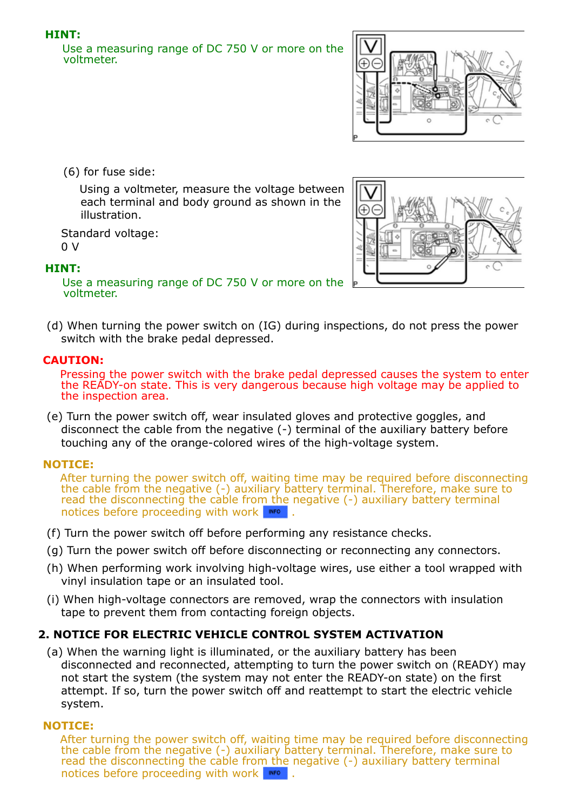# **HINT:**

Use a measuring range of DC 750 V or more on the voltmeter.



(6) for fuse side:

Using a voltmeter, measure the voltage between each terminal and body ground as shown in the illustration.

Standard voltage: 0 V

#### **HINT:**

Use a measuring range of DC 750 V or more on the voltmeter.

(d) When turning the power switch on (IG) during inspections, do not press the power switch with the brake pedal depressed.

#### **CAUTION:**

Pressing the power switch with the brake pedal depressed causes the system to enter the READY-on state. This is very dangerous because high voltage may be applied to the inspection area.

(e) Turn the power switch off, wear insulated gloves and protective goggles, and disconnect the cable from the negative (-) terminal of the auxiliary battery before touching any of the orange-colored wires of the high-voltage system.

# **NOTICE:**

After turning the power switch off, waiting time may be required before disconnecting the cable from the negative (-) auxiliary battery terminal. Therefore, make sure to read the disconnecting the cable from the negative (-) auxiliary battery terminal notices before proceeding with work **NFO**[.](https://techinfo.toyota.com/t3Portal/document/rm/RM2510U/xhtml/RM000000UYX0G7X.html?linkId=d215e591&hashId=RM000000UYX0G7X#RM000000UYX0G7X)

- (f) Turn the power switch off before performing any resistance checks.
- (g) Turn the power switch off before disconnecting or reconnecting any connectors.
- (h) When performing work involving high-voltage wires, use either a tool wrapped with vinyl insulation tape or an insulated tool.
- (i) When high-voltage connectors are removed, wrap the connectors with insulation tape to prevent them from contacting foreign objects.

# **2. NOTICE FOR ELECTRIC VEHICLE CONTROL SYSTEM ACTIVATION**

(a) When the warning light is illuminated, or the auxiliary battery has been disconnected and reconnected, attempting to turn the power switch on (READY) may not start the system (the system may not enter the READY-on state) on the first attempt. If so, turn the power switch off and reattempt to start the electric vehicle system.

# **NOTICE:**

After turning the power switch off, waiting time may be required before disconnecting the cable from the negative (-) auxiliary battery terminal. Therefore, make sure to read the disconnecting the cable from the negative (-) auxiliary battery terminal notices before proceeding with work **NOCO**[.](https://techinfo.toyota.com/t3Portal/document/rm/RM2510U/xhtml/RM000000UYX0G7X.html?linkId=d215e635&hashId=RM000000UYX0G7X#RM000000UYX0G7X)